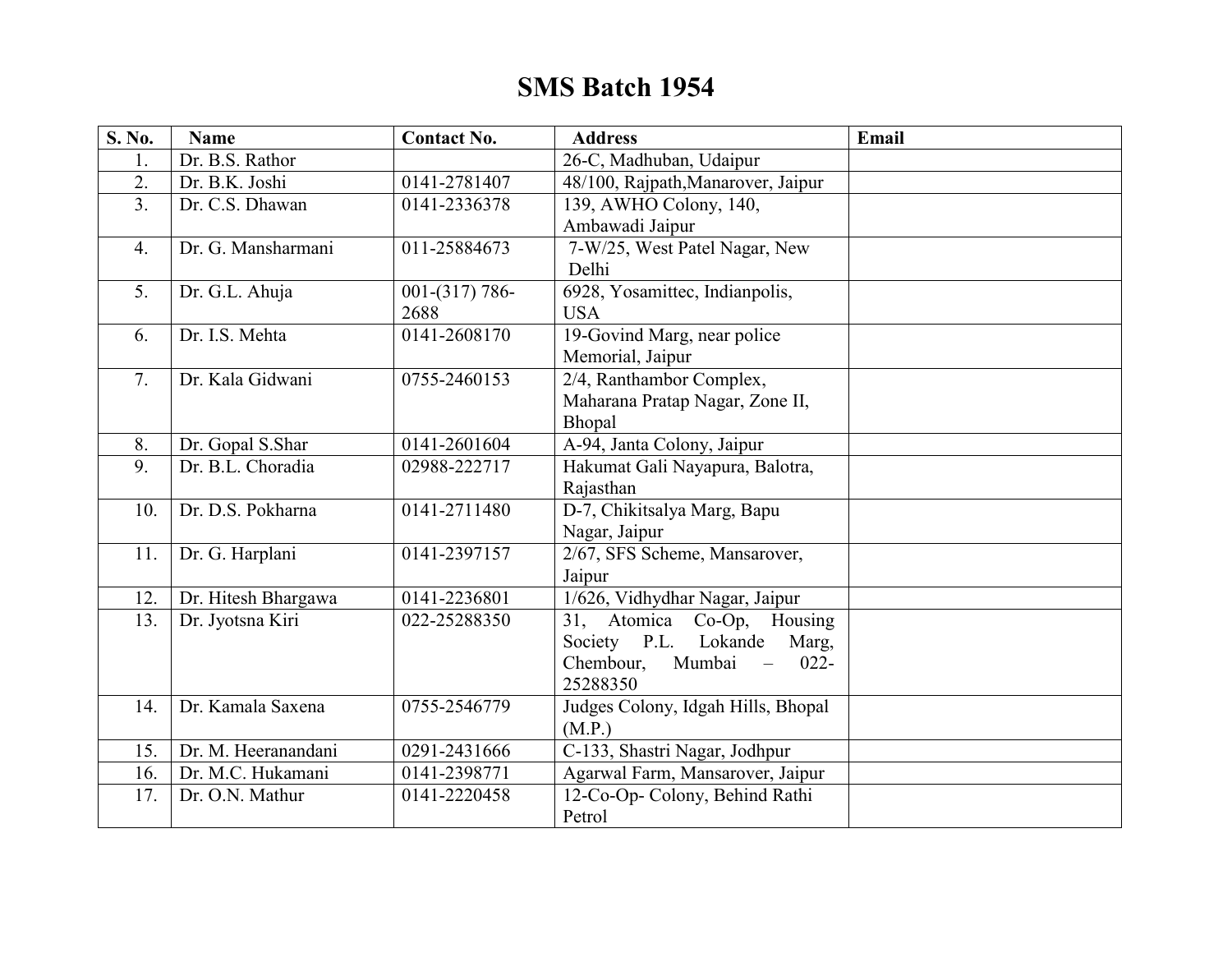## **SMS Batch 1954**

| S. No.           | <b>Name</b>         | <b>Contact No.</b> | <b>Address</b>                                             | Email |
|------------------|---------------------|--------------------|------------------------------------------------------------|-------|
| 1.               | Dr. B.S. Rathor     |                    | 26-C, Madhuban, Udaipur                                    |       |
| 2.               | Dr. B.K. Joshi      | 0141-2781407       | 48/100, Rajpath, Manarover, Jaipur                         |       |
| $\overline{3}$ . | Dr. C.S. Dhawan     | 0141-2336378       | 139, AWHO Colony, 140,                                     |       |
|                  |                     |                    | Ambawadi Jaipur                                            |       |
| $\overline{4}$ . | Dr. G. Mansharmani  | 011-25884673       | 7-W/25, West Patel Nagar, New                              |       |
|                  |                     |                    | Delhi                                                      |       |
| 5.               | Dr. G.L. Ahuja      | $001-(317)786-$    | 6928, Yosamittec, Indianpolis,                             |       |
|                  |                     | 2688               | <b>USA</b>                                                 |       |
| 6.               | Dr. I.S. Mehta      | 0141-2608170       | 19-Govind Marg, near police                                |       |
|                  |                     |                    | Memorial, Jaipur                                           |       |
| 7.               | Dr. Kala Gidwani    | 0755-2460153       | 2/4, Ranthambor Complex,                                   |       |
|                  |                     |                    | Maharana Pratap Nagar, Zone II,                            |       |
|                  |                     |                    | Bhopal                                                     |       |
| 8.               | Dr. Gopal S.Shar    | 0141-2601604       | A-94, Janta Colony, Jaipur                                 |       |
| $\overline{9}$ . | Dr. B.L. Choradia   | 02988-222717       | Hakumat Gali Nayapura, Balotra,                            |       |
|                  |                     |                    | Rajasthan                                                  |       |
| 10.              | Dr. D.S. Pokharna   | 0141-2711480       | D-7, Chikitsalya Marg, Bapu                                |       |
|                  |                     |                    | Nagar, Jaipur                                              |       |
| 11.              | Dr. G. Harplani     | 0141-2397157       | 2/67, SFS Scheme, Mansarover,                              |       |
|                  |                     |                    | Jaipur                                                     |       |
| 12.              | Dr. Hitesh Bhargawa | 0141-2236801       | 1/626, Vidhydhar Nagar, Jaipur                             |       |
| 13.              | Dr. Jyotsna Kiri    | 022-25288350       | 31, Atomica Co-Op, Housing                                 |       |
|                  |                     |                    | Society P.L. Lokande<br>Marg,                              |       |
|                  |                     |                    | Chembour,<br>Mumbai<br>$\overline{\phantom{0}}$<br>$022 -$ |       |
|                  |                     |                    | 25288350                                                   |       |
| 14.              | Dr. Kamala Saxena   | 0755-2546779       | Judges Colony, Idgah Hills, Bhopal                         |       |
|                  |                     |                    | (M.P.)                                                     |       |
| 15.              | Dr. M. Heeranandani | 0291-2431666       | C-133, Shastri Nagar, Jodhpur                              |       |
| 16.              | Dr. M.C. Hukamani   | 0141-2398771       | Agarwal Farm, Mansarover, Jaipur                           |       |
| 17.              | Dr. O.N. Mathur     | 0141-2220458       | 12-Co-Op- Colony, Behind Rathi                             |       |
|                  |                     |                    | Petrol                                                     |       |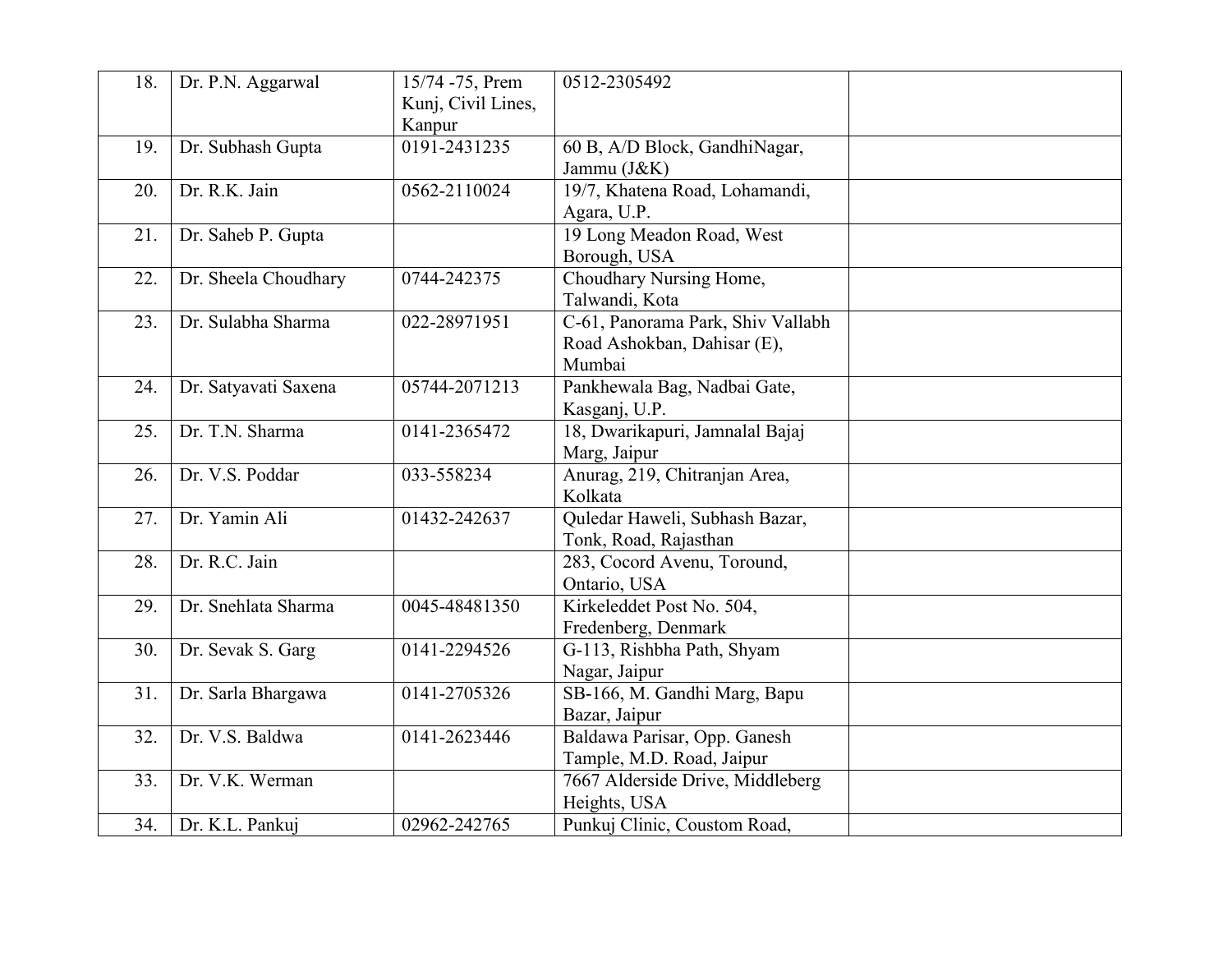| 18. | Dr. P.N. Aggarwal    | 15/74 -75, Prem<br>Kunj, Civil Lines,<br>Kanpur | 0512-2305492                                                               |  |
|-----|----------------------|-------------------------------------------------|----------------------------------------------------------------------------|--|
| 19. | Dr. Subhash Gupta    | 0191-2431235                                    | 60 B, A/D Block, GandhiNagar,<br>Jammu (J&K)                               |  |
| 20. | Dr. R.K. Jain        | 0562-2110024                                    | 19/7, Khatena Road, Lohamandi,<br>Agara, U.P.                              |  |
| 21. | Dr. Saheb P. Gupta   |                                                 | 19 Long Meadon Road, West<br>Borough, USA                                  |  |
| 22. | Dr. Sheela Choudhary | 0744-242375                                     | Choudhary Nursing Home,<br>Talwandi, Kota                                  |  |
| 23. | Dr. Sulabha Sharma   | 022-28971951                                    | C-61, Panorama Park, Shiv Vallabh<br>Road Ashokban, Dahisar (E),<br>Mumbai |  |
| 24. | Dr. Satyavati Saxena | 05744-2071213                                   | Pankhewala Bag, Nadbai Gate,<br>Kasganj, U.P.                              |  |
| 25. | Dr. T.N. Sharma      | 0141-2365472                                    | 18, Dwarikapuri, Jamnalal Bajaj<br>Marg, Jaipur                            |  |
| 26. | Dr. V.S. Poddar      | 033-558234                                      | Anurag, 219, Chitranjan Area,<br>Kolkata                                   |  |
| 27. | Dr. Yamin Ali        | 01432-242637                                    | Quledar Haweli, Subhash Bazar,<br>Tonk, Road, Rajasthan                    |  |
| 28. | Dr. R.C. Jain        |                                                 | 283, Cocord Avenu, Toround,<br>Ontario, USA                                |  |
| 29. | Dr. Snehlata Sharma  | 0045-48481350                                   | Kirkeleddet Post No. 504,<br>Fredenberg, Denmark                           |  |
| 30. | Dr. Sevak S. Garg    | 0141-2294526                                    | G-113, Rishbha Path, Shyam<br>Nagar, Jaipur                                |  |
| 31. | Dr. Sarla Bhargawa   | 0141-2705326                                    | SB-166, M. Gandhi Marg, Bapu<br>Bazar, Jaipur                              |  |
| 32. | Dr. V.S. Baldwa      | 0141-2623446                                    | Baldawa Parisar, Opp. Ganesh<br>Tample, M.D. Road, Jaipur                  |  |
| 33. | Dr. V.K. Werman      |                                                 | 7667 Alderside Drive, Middleberg<br>Heights, USA                           |  |
| 34. | Dr. K.L. Pankuj      | 02962-242765                                    | Punkuj Clinic, Coustom Road,                                               |  |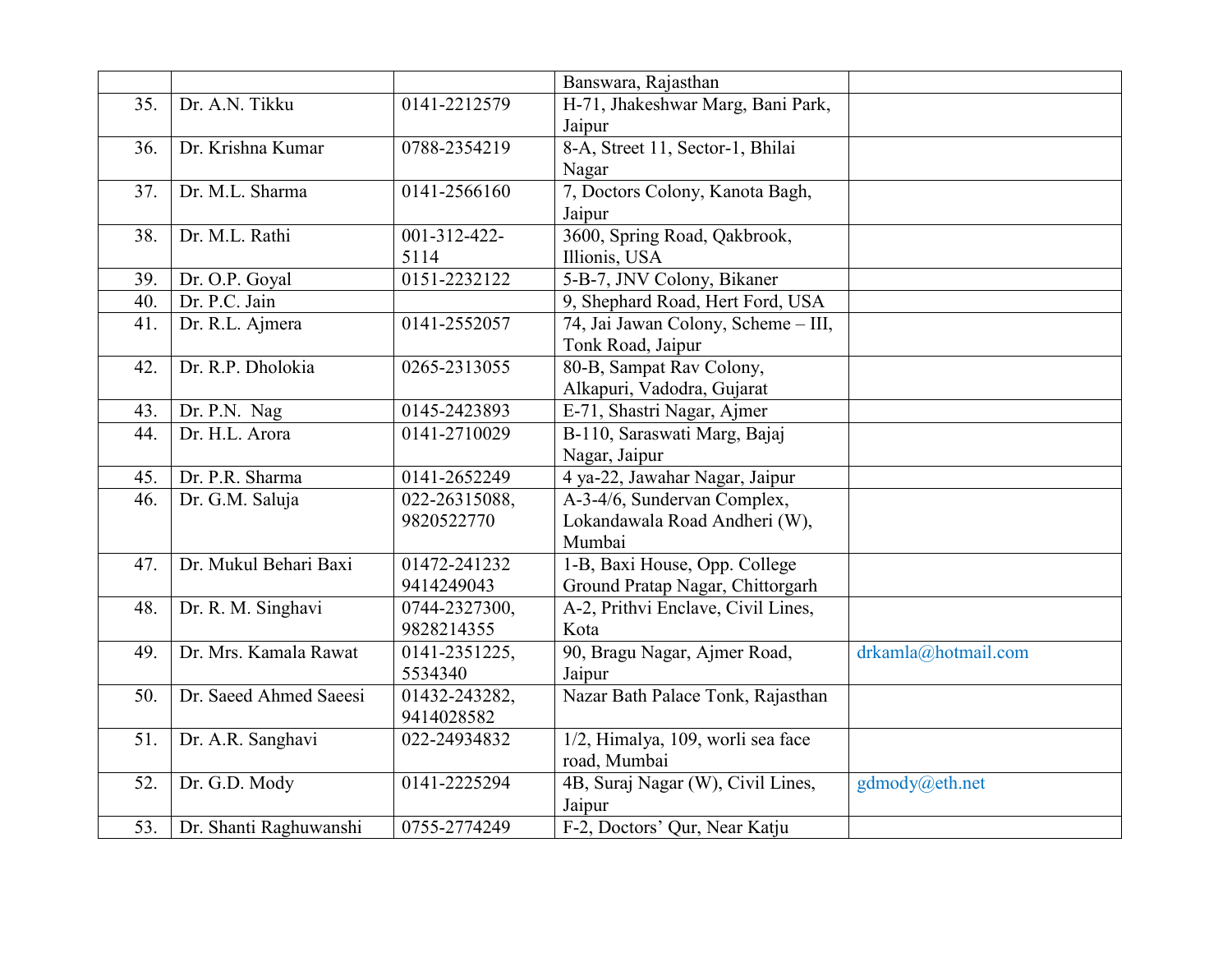|     |                        |               | Banswara, Rajasthan                 |                     |
|-----|------------------------|---------------|-------------------------------------|---------------------|
| 35. | Dr. A.N. Tikku         | 0141-2212579  | H-71, Jhakeshwar Marg, Bani Park,   |                     |
|     |                        |               | Jaipur                              |                     |
| 36. | Dr. Krishna Kumar      | 0788-2354219  | 8-A, Street 11, Sector-1, Bhilai    |                     |
|     |                        |               | Nagar                               |                     |
| 37. | Dr. M.L. Sharma        | 0141-2566160  | 7, Doctors Colony, Kanota Bagh,     |                     |
|     |                        |               | Jaipur                              |                     |
| 38. | Dr. M.L. Rathi         | 001-312-422-  | 3600, Spring Road, Qakbrook,        |                     |
|     |                        | 5114          | Illionis, USA                       |                     |
| 39. | Dr. O.P. Goyal         | 0151-2232122  | 5-B-7, JNV Colony, Bikaner          |                     |
| 40. | Dr. P.C. Jain          |               | 9, Shephard Road, Hert Ford, USA    |                     |
| 41. | Dr. R.L. Ajmera        | 0141-2552057  | 74, Jai Jawan Colony, Scheme - III, |                     |
|     |                        |               | Tonk Road, Jaipur                   |                     |
| 42. | Dr. R.P. Dholokia      | 0265-2313055  | 80-B, Sampat Rav Colony,            |                     |
|     |                        |               | Alkapuri, Vadodra, Gujarat          |                     |
| 43. | Dr. P.N. Nag           | 0145-2423893  | E-71, Shastri Nagar, Ajmer          |                     |
| 44. | Dr. H.L. Arora         | 0141-2710029  | B-110, Saraswati Marg, Bajaj        |                     |
|     |                        |               | Nagar, Jaipur                       |                     |
| 45. | Dr. P.R. Sharma        | 0141-2652249  | 4 ya-22, Jawahar Nagar, Jaipur      |                     |
| 46. | Dr. G.M. Saluja        | 022-26315088, | A-3-4/6, Sundervan Complex,         |                     |
|     |                        | 9820522770    | Lokandawala Road Andheri (W),       |                     |
|     |                        |               | Mumbai                              |                     |
| 47. | Dr. Mukul Behari Baxi  | 01472-241232  | 1-B, Baxi House, Opp. College       |                     |
|     |                        | 9414249043    | Ground Pratap Nagar, Chittorgarh    |                     |
| 48. | Dr. R. M. Singhavi     | 0744-2327300, | A-2, Prithvi Enclave, Civil Lines,  |                     |
|     |                        | 9828214355    | Kota                                |                     |
| 49. | Dr. Mrs. Kamala Rawat  | 0141-2351225, | 90, Bragu Nagar, Ajmer Road,        | drkamla@hotmail.com |
|     |                        | 5534340       | Jaipur                              |                     |
| 50. | Dr. Saeed Ahmed Saeesi | 01432-243282, | Nazar Bath Palace Tonk, Rajasthan   |                     |
|     |                        | 9414028582    |                                     |                     |
| 51. | Dr. A.R. Sanghavi      | 022-24934832  | 1/2, Himalya, 109, worli sea face   |                     |
|     |                        |               | road, Mumbai                        |                     |
| 52. | Dr. G.D. Mody          | 0141-2225294  | 4B, Suraj Nagar (W), Civil Lines,   | gdmody@eth.net      |
|     |                        |               | Jaipur                              |                     |
| 53. | Dr. Shanti Raghuwanshi | 0755-2774249  | F-2, Doctors' Qur, Near Katju       |                     |